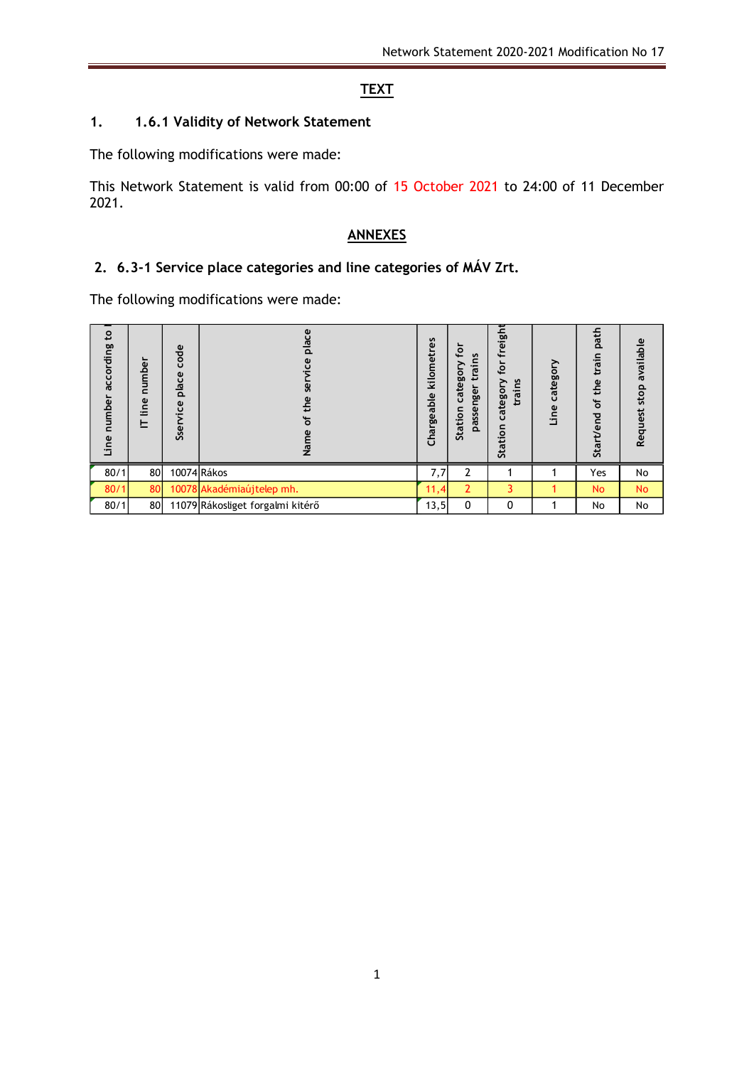# **TEXT**

## **1. 1.6.1 Validity of Network Statement**

The following modifications were made:

This Network Statement is valid from 00:00 of 15 October 2021 to 24:00 of 11 December 2021.

#### **ANNEXES**

## **2. 6.3-1 Service place categories and line categories of MÁV Zrt.**

The following modifications were made:

| $\mathbf{c}$<br>according<br>number<br>Line | umber<br>$\mathbf{C}$<br>line<br>ᄂ | code<br>place<br>jce<br>Sser | place<br>ë<br><b>g</b><br>the<br>৳<br>Name | kilometres<br>Chargeable | ⊋<br>$\mathbf{v}$<br>rain<br>⋗<br>categor<br>nger<br>passe<br>Station | freight<br>tor<br>٤<br>catego<br>trai<br>Station | category<br>Line | path<br>train<br>of the<br><b>Start/end</b> | available<br>stop<br>Request |  |
|---------------------------------------------|------------------------------------|------------------------------|--------------------------------------------|--------------------------|-----------------------------------------------------------------------|--------------------------------------------------|------------------|---------------------------------------------|------------------------------|--|
| 80/1                                        | 80                                 |                              | 10074 Rákos                                | 7,7                      | $\mathbf{2}$                                                          |                                                  |                  | Yes                                         | No                           |  |
| 80/1                                        | 80                                 |                              | 10078 Akadémiaújtelep mh.                  | 11,4                     | 2                                                                     | 3                                                |                  | No                                          | <b>No</b>                    |  |
| 80/1                                        | 80                                 |                              | 11079 Rákosliget forgalmi kitérő           | 13,5                     | 0                                                                     | 0                                                | 1                | No                                          | No                           |  |